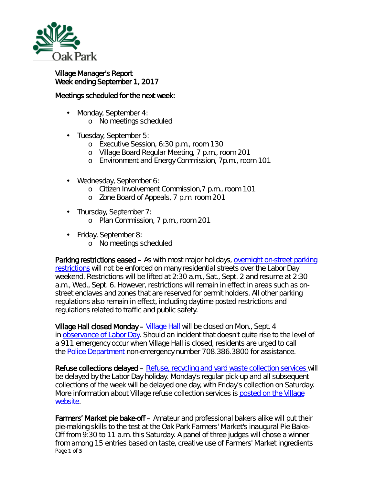

## Village Manager's Report Week ending September 1, 2017

## Meetings scheduled for the next week:

- $\mathcal{L}^{\text{max}}$ Monday, September 4:
	- o No meetings scheduled
- Tuesday, September 5:
	- o Executive Session, 6:30 p.m., room 130
	- o Village Board Regular Meeting, 7 p.m., room 201
	- o Environment and Energy Commission, 7p.m., room 101
- Wednesday, September 6:
	- o Citizen Involvement Commission,7 p.m., room 101
	- o Zone Board of Appeals, 7 p.m. room 201
- Thursday, September 7:  $\mathbf{L}$ 
	- o Plan Commission, 7 p.m., room 201
- Friday, September 8: ä,
	- o No meetings scheduled

Parking restrictions eased – As with most major holidays, overnight on-street parking [restrictions](http://www.oak-park.us/village-services/parking/parking-guidelines-restrictions) will not be enforced on many residential streets over the Labor Day weekend. Restrictions will be lifted at 2:30 a.m., Sat., Sept. 2 and resume at 2:30 a.m., Wed., Sept. 6. However, restrictions will remain in effect in areas such as onstreet enclaves and zones that are reserved for permit holders. All other parking regulations also remain in effect, including daytime posted restrictions and regulations related to traffic and public safety.

[Village Hall](http://www.oak-park.us/your-government/village-manager/village-hall) closed Monday – Village Hall will be closed on Mon., Sept. 4 in [observance of Labor Day.](https://www.dol.gov/general/laborday/history) Should an incident that doesn't quite rise to the level of a 911 emergency occur when Village Hall is closed, residents are urged to call the [Police Department](http://www.oak-park.us/village-services/police-department) non-emergency number 708.386.3800 for assistance.

Refuse collections delayed – [Refuse, recycling and yard waste collection services](http://www.oak-park.us/village-services/refuse-recycling) will be delayed by the Labor Day holiday. Monday's regular pick-up and all subsequent collections of the week will be delayed one day, with Friday's collection on Saturday. More information about Village refuse collection services is posted on the Village [website.](http://www.oak-park.us/village-services/refuse-recycling)

Page 1 of 3 Farmers' Market pie bake-off – Amateur and professional bakers alike will put their pie-making skills to the test at the Oak Park Farmers' Market's inaugural *Pie Bake-Off* from 9:30 to 11 a.m. this Saturday. A panel of three judges will chose a winner from among 15 entries based on taste, creative use of Farmers' Market ingredients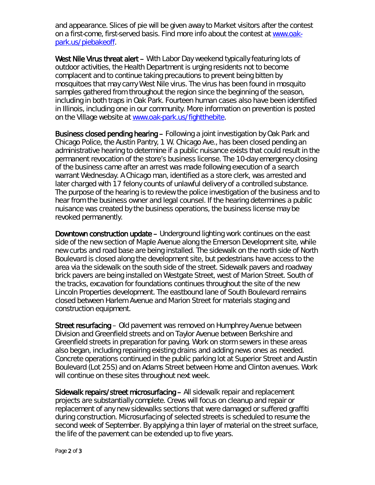and appearance. Slices of pie will be given away to Market visitors after the contest on a first-come, first-served basis. Find more info about the contest at [www.oak](http://www.oak-park.us/piebakeoff)[park.us/piebakeoff.](http://www.oak-park.us/piebakeoff)

West Nile Virus threat alert – With Labor Day weekend typically featuring lots of outdoor activities, the Health Department is urging residents not to become complacent and to continue taking precautions to prevent being bitten by mosquitoes that may carry West Nile virus. The virus has been found in mosquito samples gathered from throughout the region since the beginning of the season, including in both traps in Oak Park. Fourteen human cases also have been identified in Illinois, including one in our community. More information on prevention is posted on the Village website at [www.oak-park.us/fightthebite.](http://www.oak-park.us/fightthebite)

Business closed pending hearing – Following a joint investigation by Oak Park and Chicago Police, the Austin Pantry, 1 W. Chicago Ave., has been closed pending an administrative hearing to determine if a public nuisance exists that could result in the permanent revocation of the store's business license. The 10-day emergency closing of the business came after an arrest was made following execution of a search warrant Wednesday. A Chicago man, identified as a store clerk, was arrested and later charged with 17 felony counts of unlawful delivery of a controlled substance. The purpose of the hearing is to review the police investigation of the business and to hear from the business owner and legal counsel. If the hearing determines a public nuisance was created by the business operations, the business license may be revoked permanently.

Downtown construction update – Underground lighting work continues on the east side of the new section of Maple Avenue along the Emerson Development site, while new curbs and road base are being installed. The sidewalk on the north side of North Boulevard is closed along the development site, but pedestrians have access to the area via the sidewalk on the south side of the street. Sidewalk pavers and roadway brick pavers are being installed on Westgate Street, west of Marion Street. South of the tracks, excavation for foundations continues throughout the site of the new Lincoln Properties development. The eastbound lane of South Boulevard remains closed between Harlem Avenue and Marion Street for materials staging and construction equipment.

Street resurfacing – Old pavement was removed on Humphrey Avenue between Division and Greenfield streets and on Taylor Avenue between Berkshire and Greenfield streets in preparation for paving. Work on storm sewers in these areas also began, including repairing existing drains and adding news ones as needed. Concrete operations continued in the public parking lot at Superior Street and Austin Boulevard (Lot 25S) and on Adams Street between Home and Clinton avenues. Work will continue on these sites throughout next week.

Sidewalk repairs/street microsurfacing – All sidewalk repair and replacement projects are substantially complete. Crews will focus on cleanup and repair or replacement of any new sidewalks sections that were damaged or suffered graffiti during construction. Microsurfacing of selected streets is scheduled to resume the second week of September. By applying a thin layer of material on the street surface, the life of the pavement can be extended up to five years.